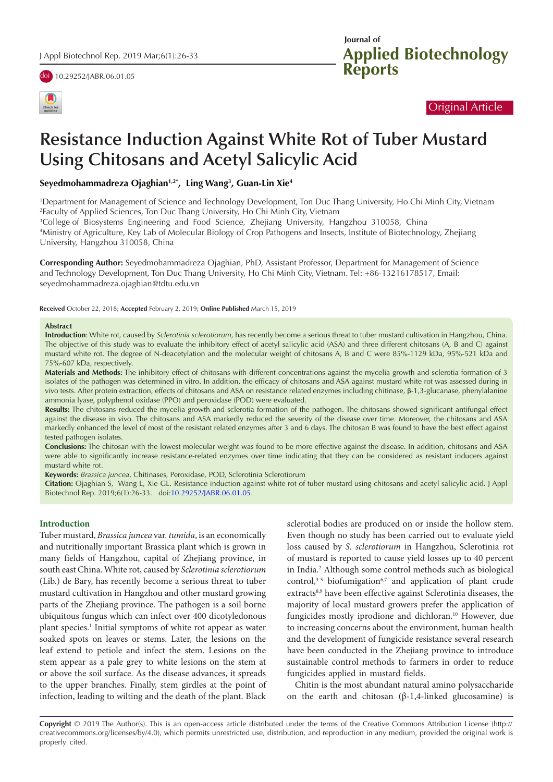



| Journal of |                                          |
|------------|------------------------------------------|
|            |                                          |
|            | <b>Applied Biotechnology<br/>Reports</b> |

# Original Article

# **Resistance Induction Against White Rot of Tuber Mustard Using Chitosans and Acetyl Salicylic Acid**

**Seyedmohammadreza Ojaghian1,2\*, Ling Wang3 , Guan-Lin Xie4**

1 Department for Management of Science and Technology Development, Ton Duc Thang University, Ho Chi Minh City, Vietnam 2 Faculty of Applied Sciences, Ton Duc Thang University, Ho Chi Minh City, Vietnam

3 College of Biosystems Engineering and Food Science, Zhejiang University, Hangzhou 310058, China 4 Ministry of Agriculture, Key Lab of Molecular Biology of Crop Pathogens and Insects, Institute of Biotechnology, Zhejiang University, Hangzhou 310058, China

**Corresponding Author:** Seyedmohammadreza Ojaghian, PhD, Assistant Professor, Department for Management of Science and Technology Development, Ton Duc Thang University, Ho Chi Minh City, Vietnam. Tel: +86-13216178517, Email: seyedmohammadreza.ojaghian@tdtu.edu.vn

**Received** October 22, 2018; **Accepted** February 2, 2019; **Online Published** March 15, 2019

#### **Abstract**

**Introduction**: White rot, caused by *Sclerotinia sclerotiorum*, has recently become a serious threat to tuber mustard cultivation in Hangzhou, China. The objective of this study was to evaluate the inhibitory effect of acetyl salicylic acid (ASA) and three different chitosans (A, B and C) against mustard white rot. The degree of N-deacetylation and the molecular weight of chitosans A, B and C were 85%-1129 kDa, 95%-521 kDa and 75%-607 kDa, respectively.

**Materials and Methods:** The inhibitory effect of chitosans with different concentrations against the mycelia growth and sclerotia formation of 3 isolates of the pathogen was determined in vitro. In addition, the efficacy of chitosans and ASA against mustard white rot was assessed during in vivo tests. After protein extraction, effects of chitosans and ASA on resistance related enzymes including chitinase, β-1,3-glucanase, phenylalanine ammonia lyase, polyphenol oxidase (PPO) and peroxidase (POD) were evaluated.

**Results:** The chitosans reduced the mycelia growth and sclerotia formation of the pathogen. The chitosans showed significant antifungal effect against the disease in vivo. The chitosans and ASA markedly reduced the severity of the disease over time. Moreover, the chitosans and ASA markedly enhanced the level of most of the resistant related enzymes after 3 and 6 days. The chitosan B was found to have the best effect against tested pathogen isolates.

**Conclusions:** The chitosan with the lowest molecular weight was found to be more effective against the disease. In addition, chitosans and ASA were able to significantly increase resistance-related enzymes over time indicating that they can be considered as resistant inducers against mustard white rot.

**Keywords:** *Brassica juncea*, Chitinases, Peroxidase, POD, Sclerotinia Sclerotiorum

**Citation:** Ojaghian S, Wang L, Xie GL. Resistance induction against white rot of tuber mustard using chitosans and acetyl salicylic acid. J Appl Biotechnol Rep. 2019;6(1):26-33. doi:[10.29252/JABR.06.01.05](https://doi.org/10.29252/JABR.06.01.05).

## **Introduction**

Tuber mustard, *Brassica juncea* var. *tumida*, is an economically and nutritionally important Brassica plant which is grown in many fields of Hangzhou, capital of Zhejiang province, in south east China. White rot, caused by *Sclerotinia sclerotiorum*  (Lib.) de Bary, has recently become a serious threat to tuber mustard cultivation in Hangzhou and other mustard growing parts of the Zhejiang province. The pathogen is a soil borne ubiquitous fungus which can infect over 400 dicotyledonous plant species.<sup>1</sup> Initial symptoms of white rot appear as water soaked spots on leaves or stems. Later, the lesions on the leaf extend to petiole and infect the stem. Lesions on the stem appear as a pale grey to white lesions on the stem at or above the soil surface. As the disease advances, it spreads to the upper branches. Finally, stem girdles at the point of infection, leading to wilting and the death of the plant. Black

sclerotial bodies are produced on or inside the hollow stem. Even though no study has been carried out to evaluate yield loss caused by *S. sclerotiorum* in Hangzhou, Sclerotinia rot of mustard is reported to cause yield losses up to 40 percent in India.2 Although some control methods such as biological control, $3-5$  biofumigation $6,7$  and application of plant crude extracts<sup>8,9</sup> have been effective against Sclerotinia diseases, the majority of local mustard growers prefer the application of fungicides mostly iprodione and dichloran.<sup>10</sup> However, due to increasing concerns about the environment, human health and the development of fungicide resistance several research have been conducted in the Zhejiang province to introduce sustainable control methods to farmers in order to reduce fungicides applied in mustard fields.

Chitin is the most abundant natural amino polysaccharide on the earth and chitosan (β-1,4-linked glucosamine) is

**Copyright** © 2019 The Author(s). This is an open-access article distributed under the terms of the Creative Commons Attribution License (http:// creativecommons.org/licenses/by/4.0), which permits unrestricted use, distribution, and reproduction in any medium, provided the original work is properly cited.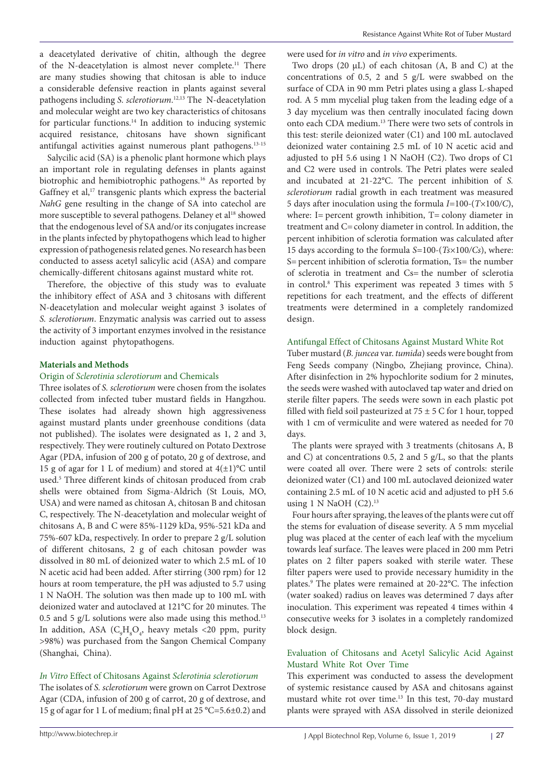a deacetylated derivative of chitin, although the degree of the N-deacetylation is almost never complete.11 There are many studies showing that chitosan is able to induce a considerable defensive reaction in plants against several pathogens including *S. sclerotiorum*. 12,13 The N-deacetylation and molecular weight are two key characteristics of chitosans for particular functions.<sup>14</sup> In addition to inducing systemic acquired resistance, chitosans have shown significant antifungal activities against numerous plant pathogens.13-15

Salycilic acid (SA) is a phenolic plant hormone which plays an important role in regulating defenses in plants against biotrophic and hemibiotrophic pathogens.16 As reported by Gaffney et al,<sup>17</sup> transgenic plants which express the bacterial *NahG* gene resulting in the change of SA into catechol are more susceptible to several pathogens. Delaney et al<sup>18</sup> showed that the endogenous level of SA and/or its conjugates increase in the plants infected by phytopathogens which lead to higher expression of pathogenesis related genes. No research has been conducted to assess acetyl salicylic acid (ASA) and compare chemically-different chitosans against mustard white rot.

Therefore, the objective of this study was to evaluate the inhibitory effect of ASA and 3 chitosans with different N-deacetylation and molecular weight against 3 isolates of *S. sclerotiorum*. Enzymatic analysis was carried out to assess the activity of 3 important enzymes involved in the resistance induction against phytopathogens.

## **Materials and Methods**

#### Origin of *Sclerotinia sclerotiorum* and Chemicals

Three isolates of *S. sclerotiorum* were chosen from the isolates collected from infected tuber mustard fields in Hangzhou. These isolates had already shown high aggressiveness against mustard plants under greenhouse conditions (data not published). The isolates were designated as 1, 2 and 3, respectively. They were routinely cultured on Potato Dextrose Agar (PDA, infusion of 200 g of potato, 20 g of dextrose, and 15 g of agar for 1 L of medium) and stored at  $4(\pm 1)$ °C until used.5 Three different kinds of chitosan produced from crab shells were obtained from Sigma-Aldrich (St Louis, MO, USA) and were named as chitosan A, chitosan B and chitosan C, respectively. The N-deacetylation and molecular weight of chitosans A, B and C were 85%-1129 kDa, 95%-521 kDa and 75%-607 kDa, respectively. In order to prepare 2 g/L solution of different chitosans, 2 g of each chitosan powder was dissolved in 80 mL of deionized water to which 2.5 mL of 10 N acetic acid had been added. After stirring (300 rpm) for 12 hours at room temperature, the pH was adjusted to 5.7 using 1 N NaOH. The solution was then made up to 100 mL with deionized water and autoclaved at 121°C for 20 minutes. The 0.5 and 5 g/L solutions were also made using this method.13 In addition, ASA  $(C_9H_8O_4$ , heavy metals <20 ppm, purity >98%) was purchased from the Sangon Chemical Company (Shanghai, China).

# *In Vitro* Effect of Chitosans Against *Sclerotinia sclerotiorum*

The isolates of *S. sclerotiorum* were grown on Carrot Dextrose Agar (CDA, infusion of 200 g of carrot, 20 g of dextrose, and 15 g of agar for 1 L of medium; final pH at 25 °C=5.6±0.2) and were used for *in vitro* and *in vivo* experiments.

Two drops (20 µL) of each chitosan (A, B and C) at the concentrations of 0.5, 2 and 5 g/L were swabbed on the surface of CDA in 90 mm Petri plates using a glass L-shaped rod. A 5 mm mycelial plug taken from the leading edge of a 3 day mycelium was then centrally inoculated facing down onto each CDA medium.13 There were two sets of controls in this test: sterile deionized water (C1) and 100 mL autoclaved deionized water containing 2.5 mL of 10 N acetic acid and adjusted to pH 5.6 using 1 N NaOH (C2). Two drops of C1 and C2 were used in controls. The Petri plates were sealed and incubated at 21-22°C. The percent inhibition of *S. sclerotiorum* radial growth in each treatment was measured 5 days after inoculation using the formula *I=*100*-*(*T×*100*/C*), where: I= percent growth inhibition, T= colony diameter in treatment and C=colony diameter in control. In addition, the percent inhibition of sclerotia formation was calculated after 15 days according to the formula *S=*100*-*(*Ts×*100*/Cs*), where: S= percent inhibition of sclerotia formation, Ts= the number of sclerotia in treatment and Cs= the number of sclerotia in control.8 This experiment was repeated 3 times with 5 repetitions for each treatment, and the effects of different treatments were determined in a completely randomized design.

#### Antifungal Effect of Chitosans Against Mustard White Rot

Tuber mustard (*B. juncea* var. *tumida*) seeds were bought from Feng Seeds company (Ningbo, Zhejiang province, China). After disinfection in 2% hypochlorite sodium for 2 minutes, the seeds were washed with autoclaved tap water and dried on sterile filter papers. The seeds were sown in each plastic pot filled with field soil pasteurized at  $75 \pm 5$  C for 1 hour, topped with 1 cm of vermiculite and were watered as needed for 70 days.

The plants were sprayed with 3 treatments (chitosans A, B and C) at concentrations 0.5, 2 and 5  $g/L$ , so that the plants were coated all over. There were 2 sets of controls: sterile deionized water (C1) and 100 mL autoclaved deionized water containing 2.5 mL of 10 N acetic acid and adjusted to pH 5.6 using 1 N NaOH  $(C2).<sup>13</sup>$ 

Four hours after spraying, the leaves of the plants were cut off the stems for evaluation of disease severity. A 5 mm mycelial plug was placed at the center of each leaf with the mycelium towards leaf surface. The leaves were placed in 200 mm Petri plates on 2 filter papers soaked with sterile water. These filter papers were used to provide necessary humidity in the plates.9 The plates were remained at 20-22°C. The infection (water soaked) radius on leaves was determined 7 days after inoculation. This experiment was repeated 4 times within 4 consecutive weeks for 3 isolates in a completely randomized block design.

## Evaluation of Chitosans and Acetyl Salicylic Acid Against Mustard White Rot Over Time

This experiment was conducted to assess the development of systemic resistance caused by ASA and chitosans against mustard white rot over time.<sup>13</sup> In this test, 70-day mustard plants were sprayed with ASA dissolved in sterile deionized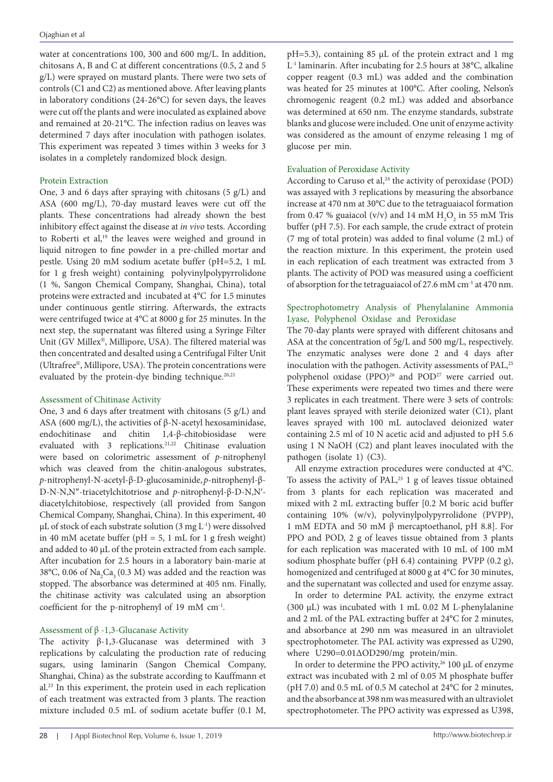water at concentrations 100, 300 and 600 mg/L. In addition, chitosans A, B and C at different concentrations (0.5, 2 and 5 g/L) were sprayed on mustard plants. There were two sets of controls (C1 and C2) as mentioned above. After leaving plants in laboratory conditions (24-26°C) for seven days, the leaves were cut off the plants and were inoculated as explained above and remained at 20-21°C. The infection radius on leaves was determined 7 days after inoculation with pathogen isolates. This experiment was repeated 3 times within 3 weeks for 3 isolates in a completely randomized block design.

# Protein Extraction

One, 3 and 6 days after spraying with chitosans  $(5 \text{ g/L})$  and ASA (600 mg/L), 70-day mustard leaves were cut off the plants. These concentrations had already shown the best inhibitory effect against the disease at *in vivo* tests. According to Roberti et al,<sup>19</sup> the leaves were weighed and ground in liquid nitrogen to fine powder in a pre-chilled mortar and pestle. Using 20 mM sodium acetate buffer (pH=5.2, 1 mL for 1 g fresh weight) containing polyvinylpolypyrrolidone (1 %, Sangon Chemical Company, Shanghai, China), total proteins were extracted and incubated at 4°C for 1.5 minutes under continuous gentle stirring. Afterwards, the extracts were centrifuged twice at 4°C at 8000 g for 25 minutes. In the next step, the supernatant was filtered using a Syringe Filter Unit (GV Millex®, Millipore, USA). The filtered material was then concentrated and desalted using a Centrifugal Filter Unit (Ultrafree®, Millipore, USA). The protein concentrations were evaluated by the protein-dye binding technique.<sup>20,21</sup>

# Assessment of Chitinase Activity

One, 3 and 6 days after treatment with chitosans (5 g/L) and ASA (600 mg/L), the activities of  $\beta$ -N-acetyl hexosaminidase, endochitinase and chitin 1,4-β-chitobiosidase were evaluated with 3 replications.<sup>21,22</sup> Chitinase evaluation were based on colorimetric assessment of *p*-nitrophenyl which was cleaved from the chitin-analogous substrates, *p*-nitrophenyl-N-acetyl-β-D-glucosaminide, *p*-nitrophenyl-β-D-N-N,N″-triacetylchitotriose and *p*-nitrophenyl-β-D-N,N′ diacetylchitobiose, respectively (all provided from Sangon Chemical Company, Shanghai, China). In this experiment, 40 μL of stock of each substrate solution  $(3 \text{ mg } L^{-1})$  were dissolved in 40 mM acetate buffer ( $pH = 5$ , 1 mL for 1 g fresh weight) and added to 40 μL of the protein extracted from each sample. After incubation for 2.5 hours in a laboratory bain-marie at 38°C, 0.06 of  $\text{Na}_{2}\text{Ca}_{3}$  (0.3 M) was added and the reaction was stopped. The absorbance was determined at 405 nm. Finally, the chitinase activity was calculated using an absorption coefficient for the p-nitrophenyl of 19 mM cm-1.

# Assessment of  $\beta$  -1,3-Glucanase Activity

The activity β-1,3-Glucanase was determined with 3 replications by calculating the production rate of reducing sugars, using laminarin (Sangon Chemical Company, Shanghai, China) as the substrate according to Kauffmann et al.23 In this experiment, the protein used in each replication of each treatment was extracted from 3 plants. The reaction mixture included 0.5 mL of sodium acetate buffer (0.1 M,

pH=5.3), containing 85 μL of the protein extract and 1 mg L-1 laminarin. After incubating for 2.5 hours at 38°C, alkaline copper reagent (0.3 mL) was added and the combination was heated for 25 minutes at 100°C. After cooling, Nelson's chromogenic reagent (0.2 mL) was added and absorbance was determined at 650 nm. The enzyme standards, substrate blanks and glucose were included. One unit of enzyme activity was considered as the amount of enzyme releasing 1 mg of glucose per min.

# Evaluation of Peroxidase Activity

According to Caruso et al,<sup>24</sup> the activity of peroxidase (POD) was assayed with 3 replications by measuring the absorbance increase at 470 nm at 30°C due to the tetraguaiacol formation from 0.47 % guaiacol (v/v) and 14 mM  $H_2O_2$  in 55 mM Tris buffer (pH 7.5). For each sample, the crude extract of protein (7 mg of total protein) was added to final volume (2 mL) of the reaction mixture. In this experiment, the protein used in each replication of each treatment was extracted from 3 plants. The activity of POD was measured using a coefficient of absorption for the tetraguaiacol of 27.6 mM  $\rm cm^{\text{-}1}$  at 470 nm.

## Spectrophotometry Analysis of Phenylalanine Ammonia Lyase, Polyphenol Oxidase and Peroxidase

The 70-day plants were sprayed with different chitosans and ASA at the concentration of 5g/L and 500 mg/L, respectively. The enzymatic analyses were done 2 and 4 days after inoculation with the pathogen. Activity assessments of PAL,<sup>25</sup> polyphenol oxidase (PPO)<sup>26</sup> and POD<sup>27</sup> were carried out. These experiments were repeated two times and there were 3 replicates in each treatment. There were 3 sets of controls: plant leaves sprayed with sterile deionized water (C1), plant leaves sprayed with 100 mL autoclaved deionized water containing 2.5 ml of 10 N acetic acid and adjusted to pH 5.6 using 1 N NaOH (C2) and plant leaves inoculated with the pathogen (isolate 1) (C3).

All enzyme extraction procedures were conducted at 4°C. To assess the activity of PAL, $25$  1 g of leaves tissue obtained from 3 plants for each replication was macerated and mixed with 2 mL extracting buffer [0.2 M boric acid buffer containing 10% (w/v), polyvinylpolypyrrolidone (PVPP), 1 mM EDTA and 50 mM β mercaptoethanol, pH 8.8]. For PPO and POD, 2 g of leaves tissue obtained from 3 plants for each replication was macerated with 10 mL of 100 mM sodium phosphate buffer (pH 6.4) containing PVPP (0.2 g), homogenized and centrifuged at 8000 g at 4°C for 30 minutes, and the supernatant was collected and used for enzyme assay.

In order to determine PAL activity, the enzyme extract (300 µL) was incubated with 1 mL 0.02 M L-phenylalanine and 2 mL of the PAL extracting buffer at 24°C for 2 minutes, and absorbance at 290 nm was measured in an ultraviolet spectrophotometer. The PAL activity was expressed as U290, where U290=0.01∆OD290/mg protein/min.

In order to determine the PPO activity,<sup>26</sup> 100 µL of enzyme extract was incubated with 2 ml of 0.05 M phosphate buffer (pH 7.0) and 0.5 mL of 0.5 M catechol at 24°C for 2 minutes, and the absorbance at 398 nm was measured with an ultraviolet spectrophotometer. The PPO activity was expressed as U398,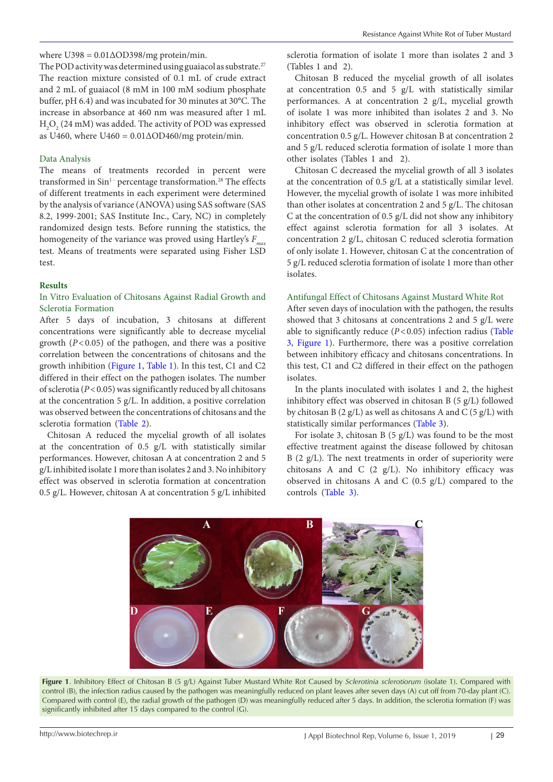The POD activity was determined using guaiacol as substrate.<sup>27</sup> The reaction mixture consisted of 0.1 mL of crude extract and 2 mL of guaiacol (8 mM in 100 mM sodium phosphate buffer, pH 6.4) and was incubated for 30 minutes at 30°C. The increase in absorbance at 460 nm was measured after 1 mL  $_{\rm H_2O_2}$  (24 mM) was added. The activity of POD was expressed as U460, where U460 =  $0.01 \triangle ODA60/mg$  protein/min.

## Data Analysis

The means of treatments recorded in percent were transformed in Sin<sup>1</sup> percentage transformation.<sup>28</sup> The effects of different treatments in each experiment were determined by the analysis of variance (ANOVA) using SAS software (SAS 8.2, 1999-2001; SAS Institute Inc., Cary, NC) in completely randomized design tests. Before running the statistics, the homogeneity of the variance was proved using Hartley's *F<sub>m</sub>* test. Means of treatments were separated using Fisher LSD test.

#### **Results**

## In Vitro Evaluation of Chitosans Against Radial Growth and Sclerotia Formation

After 5 days of incubation, 3 chitosans at different concentrations were significantly able to decrease mycelial growth  $(P<0.05)$  of the pathogen, and there was a positive correlation between the concentrations of chitosans and the growth inhibition ([Figure 1,](#page-3-0) [Table 1\)](#page-4-0). In this test, C1 and C2 differed in their effect on the pathogen isolates. The number of sclerotia (*P*<0.05) was significantly reduced by all chitosans at the concentration 5 g/L. In addition, a positive correlation was observed between the concentrations of chitosans and the sclerotia formation [\(Table 2](#page-4-1)).

Chitosan A reduced the mycelial growth of all isolates at the concentration of 0.5 g/L with statistically similar performances. However, chitosan A at concentration 2 and 5 g/L inhibited isolate 1 more than isolates 2 and 3. No inhibitory effect was observed in sclerotia formation at concentration 0.5 g/L. However, chitosan A at concentration 5 g/L inhibited

sclerotia formation of isolate 1 more than isolates 2 and 3 (Tables 1 and 2).

Chitosan B reduced the mycelial growth of all isolates at concentration 0.5 and 5 g/L with statistically similar performances. A at concentration 2 g/L, mycelial growth of isolate 1 was more inhibited than isolates 2 and 3. No inhibitory effect was observed in sclerotia formation at concentration 0.5 g/L. However chitosan B at concentration 2 and 5 g/L reduced sclerotia formation of isolate 1 more than other isolates (Tables 1 and 2).

Chitosan C decreased the mycelial growth of all 3 isolates at the concentration of 0.5 g/L at a statistically similar level. However, the mycelial growth of isolate 1 was more inhibited than other isolates at concentration 2 and 5 g/L. The chitosan C at the concentration of 0.5 g/L did not show any inhibitory effect against sclerotia formation for all 3 isolates. At concentration 2 g/L, chitosan C reduced sclerotia formation of only isolate 1. However, chitosan C at the concentration of 5 g/L reduced sclerotia formation of isolate 1 more than other isolates.

#### Antifungal Effect of Chitosans Against Mustard White Rot

After seven days of inoculation with the pathogen, the results showed that 3 chitosans at concentrations 2 and 5 g/L were able to significantly reduce (*P*<0.05) infection radius [\(Table](#page-4-2)  [3,](#page-4-2) [Figure 1\)](#page-3-0). Furthermore, there was a positive correlation between inhibitory efficacy and chitosans concentrations. In this test, C1 and C2 differed in their effect on the pathogen isolates.

In the plants inoculated with isolates 1 and 2, the highest inhibitory effect was observed in chitosan B (5 g/L) followed by chitosan B (2  $g/L$ ) as well as chitosans A and C (5  $g/L$ ) with statistically similar performances [\(Table 3](#page-4-2)).

<span id="page-3-0"></span>For isolate 3, chitosan B (5 g/L) was found to be the most effective treatment against the disease followed by chitosan  $B$  (2 g/L). The next treatments in order of superiority were chitosans A and C (2 g/L). No inhibitory efficacy was observed in chitosans A and C (0.5 g/L) compared to the controls ([Table 3\)](#page-4-2).



**Figure 1**. Inhibitory Effect of Chitosan B (5 g/L) Against Tuber Mustard White Rot Caused by *Sclerotinia sclerotiorum* (isolate 1). Compared with control (B), the infection radius caused by the pathogen was meaningfully reduced on plant leaves after seven days (A) cut off from 70-day plant (C). Compared with control (E), the radial growth of the pathogen (D) was meaningfully reduced after 5 days. In addition, the sclerotia formation (F) was significantly inhibited after 15 days compared to the control (G).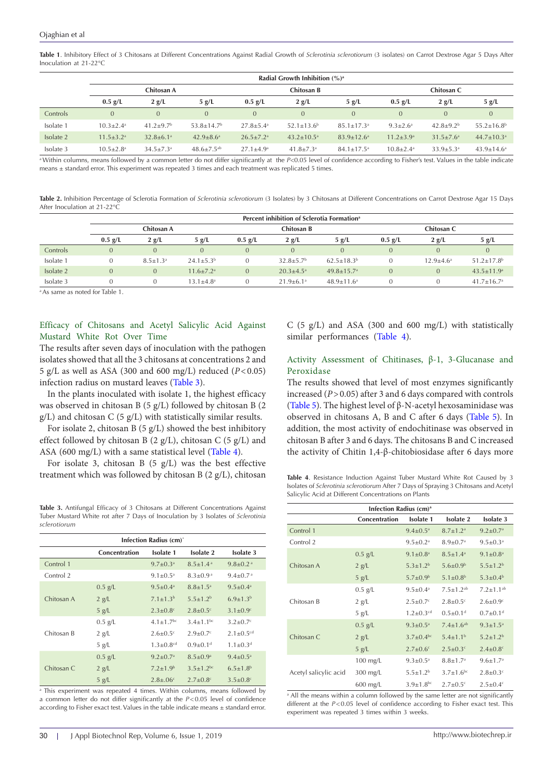<span id="page-4-0"></span>**Table 1**. Inhibitory Effect of 3 Chitosans at Different Concentrations Against Radial Growth of *Sclerotinia sclerotiorum* (3 isolates) on Carrot Dextrose Agar 5 Days After Inoculation at 21-22°C

|           | Radial Growth Inhibition $(\%)^a$ |                             |                              |                           |                             |                            |                             |                             |                              |
|-----------|-----------------------------------|-----------------------------|------------------------------|---------------------------|-----------------------------|----------------------------|-----------------------------|-----------------------------|------------------------------|
|           | Chitosan A                        |                             |                              | Chitosan B                |                             |                            | Chitosan C                  |                             |                              |
|           | $0.5$ g/L                         | 2 g/L                       | 5 g/L                        | $0.5$ g/L                 | 2 g/L                       | 5 g/L                      | $0.5$ g/L                   | 2 g/L                       | 5 g/L                        |
| Controls  | $\mathbf{0}$                      | $\overline{0}$              | $\overline{0}$               | $\overline{0}$            | $\overline{0}$              | $\Omega$                   | $\overline{0}$              | $\theta$                    | $\overline{0}$               |
| Isolate 1 | $10.3 + 2.4$ <sup>a</sup>         | $41.2 + 9.7b$               | $53.8 + 14.7b$               | $27.8 + 5.4$ <sup>a</sup> | $52.1 + 13.6^b$             | $85.1 + 17.3$ <sup>a</sup> | $9.3 \pm 2.6^{\circ}$       | $42.8 \pm 9.2^{\rm b}$      | $55.2 + 16.8$ <sup>b</sup>   |
| Isolate 2 | $11.5 \pm 3.2$ <sup>a</sup>       | $32.8 \pm 6.1$ <sup>a</sup> | $42.9 \pm 8.6^{\circ}$       | $26.5+7.2$ <sup>a</sup>   | $43.2 \pm 10.5^{\circ}$     | $83.9 \pm 12.6^{\circ}$    | $11.2 \pm 3.9^{\rm a}$      | $31.5 \pm 7.6^{\circ}$      | $44.7 \pm 10.3$ <sup>a</sup> |
| Isolate 3 | $10.5 \pm 2.8$ <sup>a</sup>       | $34.5 \pm 7.3$ <sup>a</sup> | $48.6 \pm 7.5$ <sup>ab</sup> | $27.1 \pm 4.9^{\circ}$    | $41.8 \pm 7.3$ <sup>a</sup> | $84.1 \pm 17.5^{\circ}$    | $10.8 \pm 2.4$ <sup>a</sup> | $33.9 \pm 5.3$ <sup>a</sup> | $43.9 \pm 14.6^{\circ}$      |

<sup>a</sup> Within columns, means followed by a common letter do not differ significantly at the *P*<0.05 level of confidence according to Fisher's test. Values in the table indicate means ± standard error. This experiment was repeated 3 times and each treatment was replicated 5 times.

<span id="page-4-1"></span>**Table 2.** Inhibition Percentage of Sclerotia Formation of *Sclerotinia sclerotiorum* (3 Isolates) by 3 Chitosans at Different Concentrations on Carrot Dextrose Agar 15 Days After Inoculation at 21-22°C

|           | Percent inhibition of Sclerotia Formation <sup>a</sup> |                       |                           |                |                             |                            |                |                |                              |
|-----------|--------------------------------------------------------|-----------------------|---------------------------|----------------|-----------------------------|----------------------------|----------------|----------------|------------------------------|
|           | Chitosan A                                             |                       |                           | Chitosan B     |                             |                            | Chitosan C     |                |                              |
|           | $0.5$ g/L                                              | 2 g/L                 | 5 g/L                     | $0.5$ g/L      | 2 g/L                       | 5 g/L                      | $0.5$ g/L      | 2 g/L          | 5 g/L                        |
| Controls  | $\mathbf{0}$                                           |                       |                           | $\overline{0}$ | $\Omega$                    | $\Omega$                   | $\overline{0}$ |                | $\overline{0}$               |
| Isolate 1 |                                                        | $8.5 \pm 1.3^{\circ}$ | $24.1 \pm 5.3^{\rm b}$    | $\Omega$       | $32.8 + 5.7b$               | $62.5+18.3b$               |                | $12.9 + 4.6^a$ | $51.2 \pm 17.8$ <sup>b</sup> |
| Isolate 2 | $\Omega$                                               |                       | $11.6 + 7.2$ <sup>a</sup> | $\mathbf{0}$   | $20.3 \pm 4.5^{\circ}$      | $49.8 + 15.7$ <sup>a</sup> | $\Omega$       |                | $43.5 \pm 11.9^a$            |
| Isolate 3 | $\Omega$                                               |                       | $13.1 \pm 4.8^a$          |                | $21.9 \pm 6.1$ <sup>a</sup> | $48.9 \pm 11.6^{\circ}$    |                |                | $41.7 \pm 16.7$ <sup>a</sup> |

a As same as noted for Table 1.

Efficacy of Chitosans and Acetyl Salicylic Acid Against Mustard White Rot Over Time

The results after seven days of inoculation with the pathogen isolates showed that all the 3 chitosans at concentrations 2 and 5 g/L as well as ASA (300 and 600 mg/L) reduced (*P*<0.05) infection radius on mustard leaves [\(Table 3](#page-4-2)).

In the plants inoculated with isolate 1, the highest efficacy was observed in chitosan B (5 g/L) followed by chitosan B (2 g/L) and chitosan C (5 g/L) with statistically similar results.

For isolate 2, chitosan B (5 g/L) showed the best inhibitory effect followed by chitosan B  $(2 g/L)$ , chitosan C  $(5 g/L)$  and ASA (600 mg/L) with a same statistical level ([Table 4\)](#page-4-3).

For isolate 3, chitosan B  $(5 \text{ g/L})$  was the best effective treatment which was followed by chitosan B (2 g/L), chitosan

<span id="page-4-2"></span>**Table 3.** Antifungal Efficacy of 3 Chitosans at Different Concentrations Against Tuber Mustard White rot after 7 Days of Inoculation by 3 Isolates of *Sclerotinia sclerotiorum*

| Infection Radius (cm)* |               |                             |                            |                             |  |  |
|------------------------|---------------|-----------------------------|----------------------------|-----------------------------|--|--|
|                        | Concentration | <b>Isolate 1</b>            | Isolate 2                  | Isolate 3                   |  |  |
| Control 1              |               | $9.7 \pm 0.3^a$             | $8.5 + 1.4$ <sup>a</sup>   | $9.8 \pm 0.2$ <sup>a</sup>  |  |  |
| Control 2              |               | $9.1 \pm 0.5^{\text{a}}$    | $8.3 \pm 0.9$ <sup>a</sup> | $9.4 \pm 0.7$ <sup>a</sup>  |  |  |
|                        | $0.5$ g/L     | $9.5 \pm 0.4^a$             | $8.8 \pm 1.5^{\circ}$      | $9.5 \pm 0.4$ <sup>a</sup>  |  |  |
| Chitosan A             | 2 g/L         | $7.1 \pm 1.3^{b}$           | $5.5 + 1.2b$               | $6.9 \pm 1.3^{b}$           |  |  |
|                        | 5 g/L         | $2.3 \pm 0.8$ <sup>c</sup>  | $2.8 \pm 0.5$ <sup>c</sup> | $3.1 \pm 0.9$ <sup>c</sup>  |  |  |
|                        | $0.5$ g/L     | $4.1 \pm 1.7$ <sup>bc</sup> | $3.4 + 1.1$ <sup>bc</sup>  | $3.2 \pm 0.7$ <sup>c</sup>  |  |  |
| Chitosan B             | 2 g/L         | $2.6 \pm 0.5$ <sup>c</sup>  | $2.9 \pm 0.7$ <sup>c</sup> | $2.1 \pm 0.5$ <sup>cd</sup> |  |  |
|                        | 5 g/L         | $1.3 + 0.8$ <sup>cd</sup>   | $0.9 + 0.1$ <sup>d</sup>   | $1.1 + 0.3d$                |  |  |
|                        | $0.5$ g/L     | $9.2 \pm 0.7$ <sup>a</sup>  | $8.5 \pm 0.9$ <sup>a</sup> | $9.4 \pm 0.5^{\text{a}}$    |  |  |
| Chitosan C             | $2$ g/L       | $7.2 \pm 1.9^b$             | $3.5 + 1.2$ <sub>bc</sub>  | $6.5 \pm 1.8$ <sup>b</sup>  |  |  |
|                        | 5 g/L         | $2.8 \pm .06$ <sup>c</sup>  | $2.7 \pm 0.8$ <sup>c</sup> | $3.5 \pm 0.8$ <sup>c</sup>  |  |  |

<sup>a</sup> This experiment was repeated 4 times. Within columns, means followed by a common letter do not differ significantly at the *P*<0.05 level of confidence according to Fisher exact test. Values in the table indicate means  $\pm$  standard error.

C (5 g/L) and ASA (300 and 600 mg/L) with statistically similar performances ([Table 4](#page-4-3)).

## Activity Assessment of Chitinases, β-1, 3-Glucanase and Peroxidase

The results showed that level of most enzymes significantly increased (*P*>0.05) after 3 and 6 days compared with controls [\(Table 5\)](#page-5-0). The highest level of  $β$ -N-acetyl hexosaminidase was observed in chitosans A, B and C after 6 days [\(Table 5\)](#page-5-0). In addition, the most activity of endochitinase was observed in chitosan B after 3 and 6 days. The chitosans B and C increased the activity of Chitin 1,4-β-chitobiosidase after 6 days more

<span id="page-4-3"></span>**Table 4**. Resistance Induction Against Tuber Mustard White Rot Caused by 3 Isolates of *Sclerotinia sclerotiorum* After 7 Days of Spraying 3 Chitosans and Acetyl Salicylic Acid at Different Concentrations on Plants

| Infection Radius (cm) <sup>a</sup> |               |                             |                             |                            |  |  |  |
|------------------------------------|---------------|-----------------------------|-----------------------------|----------------------------|--|--|--|
|                                    | Concentration | <b>Isolate 1</b>            | <b>Isolate 2</b>            | <b>Isolate 3</b>           |  |  |  |
| Control 1                          |               | $9.4 \pm 0.5$ <sup>a</sup>  | $8.7 \pm 1.2^a$             | $9.2 \pm 0.7$ <sup>a</sup> |  |  |  |
| Control 2                          |               | $9.5 \pm 0.2$ <sup>a</sup>  | $8.9 \pm 0.7$ <sup>a</sup>  | $9.5 \pm 0.3$ <sup>a</sup> |  |  |  |
|                                    | $0.5$ g/L     | $9.1 \pm 0.8$ <sup>a</sup>  | $8.5 \pm 1.4^a$             | $9.1 \pm 0.8$ <sup>a</sup> |  |  |  |
| Chitosan A                         | $2$ g/L       | $5.3 \pm 1.2^b$             | $5.6 \pm 0.9^b$             | $5.5 \pm 1.2^b$            |  |  |  |
|                                    | 5 g/L         | $5.7 \pm 0.9^{\rm b}$       | $5.1 \pm 0.8^{\rm b}$       | $5.3 \pm 0.4^b$            |  |  |  |
|                                    | $0.5$ g/L     | $9.5 \pm 0.4$ <sup>a</sup>  | $7.5 \pm 1.2^{ab}$          | $7.2 \pm 1.1^{ab}$         |  |  |  |
| Chitosan B                         | 2 g/L         | $2.5 \pm 0.7$ <sup>c</sup>  | $2.8 \pm 0.5$ <sup>c</sup>  | $2.6 \pm 0.9$ <sup>c</sup> |  |  |  |
|                                    | 5 g/L         | $1.2 \pm 0.3$ <sup>cd</sup> | $0.5 \pm 0.1$ <sup>d</sup>  | $0.7 \pm 0.1$ <sup>d</sup> |  |  |  |
|                                    | $0.5$ g/L     | $9.3 \pm 0.5$ <sup>a</sup>  | $7.4 \pm 1.6^{ab}$          | $9.3 \pm 1.5^a$            |  |  |  |
| Chitosan C                         | $2$ g/L       | $3.7 \pm 0.4$ bc            | $5.4 \pm 1.1$ <sup>b</sup>  | $5.2 \pm 1.2$ <sup>b</sup> |  |  |  |
|                                    | 5 g/L         | $2.7 \pm 0.6$ <sup>c</sup>  | $2.5 \pm 0.3$ <sup>c</sup>  | $2.4 \pm 0.8$ <sup>c</sup> |  |  |  |
|                                    | 100 mg/L      | $9.3 \pm 0.5$ <sup>a</sup>  | $8.8 \pm 1.7^{\rm a}$       | $9.6 \pm 1.7$ <sup>a</sup> |  |  |  |
| Acetyl salicylic acid              | 300 mg/L      | $5.5 \pm 1.2^b$             | $3.7 \pm 1.6$ <sup>bc</sup> | $2.8 \pm 0.3$ <sup>c</sup> |  |  |  |
|                                    | $600$ mg/L    | $3.9 \pm 1.8$ bc            | $2.7 \pm 0.5$ <sup>c</sup>  | $2.5 \pm 0.4$ <sup>c</sup> |  |  |  |

<sup>a</sup> All the means within a column followed by the same letter are not significantly different at the  $P < 0.05$  level of confidence according to Fisher exact test. This experiment was repeated 3 times within 3 weeks.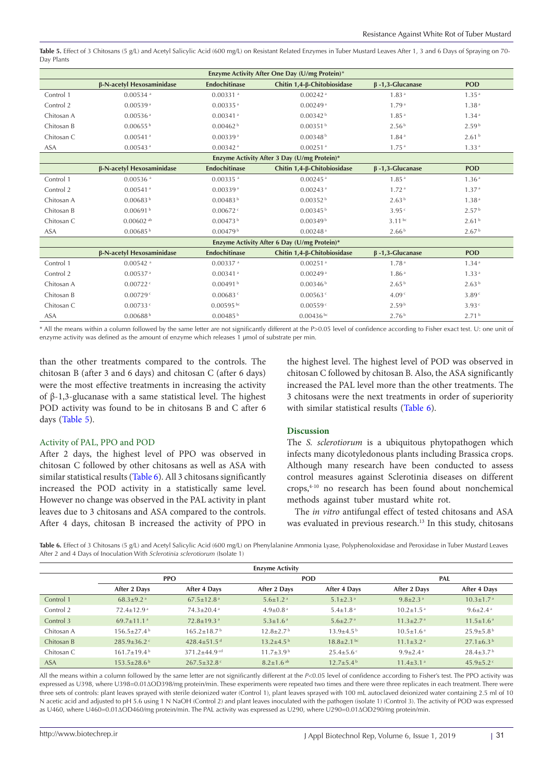<span id="page-5-0"></span>Table 5. Effect of 3 Chitosans (5 g/L) and Acetyl Salicylic Acid (600 mg/L) on Resistant Related Enzymes in Tuber Mustard Leaves After 1, 3 and 6 Days of Spraying on 70-Day Plants

| Enzyme Activity After One Day (U/mg Protein)* |                           |                        |                                             |                        |                   |  |  |
|-----------------------------------------------|---------------------------|------------------------|---------------------------------------------|------------------------|-------------------|--|--|
|                                               | β-N-acetyl Hexosaminidase | <b>Endochitinase</b>   | Chitin 1,4-β-Chitobiosidase                 | $\beta$ -1,3-Glucanase | <b>POD</b>        |  |  |
| Control 1                                     | $0.00534$ <sup>a</sup>    | $0.00331$ <sup>a</sup> | $0.00242$ <sup>a</sup>                      | 1.83 <sup>a</sup>      | 1.35 <sup>a</sup> |  |  |
| Control 2                                     | 0.00539a                  | $0.00335$ <sup>a</sup> | 0.00249a                                    | 1.79 <sup>a</sup>      | 1.38 <sup>a</sup> |  |  |
| Chitosan A                                    | $0.00536$ <sup>a</sup>    | $0.00341$ <sup>a</sup> | 0.00342 <sup>b</sup>                        | 1.85 <sup>a</sup>      | 1.34 <sup>a</sup> |  |  |
| Chitosan B                                    | $0.00655^{b}$             | 0.00462 <sup>b</sup>   | 0.00351 <sup>b</sup>                        | 2.56 <sup>b</sup>      | 2.59 <sup>b</sup> |  |  |
| Chitosan C                                    | $0.00541$ <sup>a</sup>    | 0.00339a               | 0.00348 <sup>b</sup>                        | 1.84 <sup>a</sup>      | 2.61 <sup>b</sup> |  |  |
| <b>ASA</b>                                    | $0.00543$ <sup>a</sup>    | $0.00342$ <sup>a</sup> | $0.00251$ <sup>a</sup>                      | 1.75 <sup>a</sup>      | 1.33 <sup>a</sup> |  |  |
|                                               |                           |                        | Enzyme Activity After 3 Day (U/mg Protein)* |                        |                   |  |  |
|                                               | β-N-acetyl Hexosaminidase | <b>Endochitinase</b>   | Chitin 1,4-β-Chitobiosidase                 | $\beta$ -1,3-Glucanase | <b>POD</b>        |  |  |
| Control 1                                     | $0.00536$ <sup>a</sup>    | $0.00335$ <sup>a</sup> | $0.00245$ <sup>a</sup>                      | 1.85 <sup>a</sup>      | 1.36 <sup>a</sup> |  |  |
| Control 2                                     | $0.00541$ <sup>a</sup>    | 0.00339a               | $0.00243$ <sup>a</sup>                      | 1.72 <sup>a</sup>      | 1.37 <sup>a</sup> |  |  |
| Chitosan A                                    | 0.00683 <sup>b</sup>      | 0.00483 <sup>b</sup>   | 0.00352 <sup>b</sup>                        | 2.63 <sup>b</sup>      | 1.38 <sup>a</sup> |  |  |
| Chitosan B                                    | 0.00691 <sup>b</sup>      | 0.00672                | 0.00345 <sup>b</sup>                        | 3.95c                  | 2.57 <sup>b</sup> |  |  |
| Chitosan C                                    | $0.00602$ <sup>ab</sup>   | 0.00473 <sup>b</sup>   | 0.00349 <sup>b</sup>                        | $3.11^{bc}$            | 2.61 <sup>b</sup> |  |  |
| <b>ASA</b>                                    | 0.00685 <sup>b</sup>      | 0.00479 <sup>b</sup>   | $0.00248$ <sup>a</sup>                      | 2.66 <sup>b</sup>      | 2.67 <sup>b</sup> |  |  |
|                                               |                           |                        | Enzyme Activity After 6 Day (U/mg Protein)* |                        |                   |  |  |
|                                               | β-N-acetyl Hexosaminidase | <b>Endochitinase</b>   | Chitin 1,4-β-Chitobiosidase                 | $\beta$ -1,3-Glucanase | <b>POD</b>        |  |  |
| Control 1                                     | $0.00542$ <sup>a</sup>    | $0.00337$ <sup>a</sup> | $0.00251$ <sup>a</sup>                      | 1.78 <sup>a</sup>      | 1.34 <sup>a</sup> |  |  |
| Control 2                                     | $0.00537$ <sup>a</sup>    | $0.00341$ <sup>a</sup> | 0.00249a                                    | 1.86 <sup>a</sup>      | 1.33 <sup>a</sup> |  |  |
| Chitosan A                                    | 0.00722c                  | 0.00491 <sup>b</sup>   | 0.00346 <sup>b</sup>                        | 2.65 <sup>b</sup>      | 2.63 <sup>b</sup> |  |  |
| Chitosan B                                    | 0.00729c                  | $0.00683$ <sup>c</sup> | $0.00563$ <sup>c</sup>                      | 4.09 <sup>c</sup>      | 3.89 <sup>c</sup> |  |  |
| Chitosan C                                    | 0.00733c                  | $0.00595$ bc           | 0.00559c                                    | 2.59 <sup>b</sup>      | 3.93c             |  |  |
| <b>ASA</b>                                    | 0.00688 <sup>b</sup>      | 0.00485 <sup>b</sup>   | $0.00436$ bc                                | 2.76 <sup>b</sup>      | 2.71 <sup>b</sup> |  |  |

\* All the means within a column followed by the same letter are not significantly different at the P>0.05 level of confidence according to Fisher exact test. U: one unit of enzyme activity was defined as the amount of enzyme which releases 1 μmol of substrate per min.

than the other treatments compared to the controls. The chitosan B (after 3 and 6 days) and chitosan C (after 6 days) were the most effective treatments in increasing the activity of β-1,3-glucanase with a same statistical level. The highest POD activity was found to be in chitosans B and C after 6 days ([Table 5](#page-5-0)).

#### Activity of PAL, PPO and POD

After 2 days, the highest level of PPO was observed in chitosan C followed by other chitosans as well as ASA with similar statistical results [\(Table 6](#page-5-1)). All 3 chitosans significantly increased the POD activity in a statistically same level. However no change was observed in the PAL activity in plant leaves due to 3 chitosans and ASA compared to the controls. After 4 days, chitosan B increased the activity of PPO in the highest level. The highest level of POD was observed in chitosan C followed by chitosan B. Also, the ASA significantly increased the PAL level more than the other treatments. The 3 chitosans were the next treatments in order of superiority with similar statistical results ([Table 6](#page-5-1)).

#### **Discussion**

The *S. sclerotiorum* is a ubiquitous phytopathogen which infects many dicotyledonous plants including Brassica crops. Although many research have been conducted to assess control measures against Sclerotinia diseases on different crops,4-10 no research has been found about nonchemical methods against tuber mustard white rot.

The *in vitro* antifungal effect of tested chitosans and ASA was evaluated in previous research.<sup>13</sup> In this study, chitosans

<span id="page-5-1"></span>Table 6. Effect of 3 Chitosans (5 g/L) and Acetyl Salicylic Acid (600 mg/L) on Phenylalanine Ammonia Lyase, Polyphenoloxidase and Peroxidase in Tuber Mustard Leaves After 2 and 4 Days of Inoculation With *Sclerotinia sclerotiorum* (Isolate 1)

| <b>Enzyme Activity</b> |                               |                               |                             |                             |                             |                             |  |  |
|------------------------|-------------------------------|-------------------------------|-----------------------------|-----------------------------|-----------------------------|-----------------------------|--|--|
|                        |                               | <b>PPO</b>                    | <b>POD</b>                  |                             |                             | PAL                         |  |  |
|                        | After 2 Days                  | After 4 Days                  | After 2 Days                | After 4 Days                | After 2 Days                | After 4 Days                |  |  |
| Control 1              | $68.3 \pm 9.2$ <sup>a</sup>   | $67.5 \pm 12.8$ <sup>a</sup>  | $5.6 \pm 1.2$ <sup>a</sup>  | $5.1 \pm 2.3$ <sup>a</sup>  | $9.8 \pm 2.3$ <sup>a</sup>  | $10.3 \pm 1.7$ <sup>a</sup> |  |  |
| Control 2              | $72.4 + 12.9$ <sup>a</sup>    | $74.3 \pm 20.4$ <sup>a</sup>  | $4.9 \pm 0.8$ <sup>a</sup>  | $5.4 \pm 1.8$ <sup>a</sup>  | $10.2 \pm 1.5$ <sup>a</sup> | $9.6 \pm 2.4$ <sup>a</sup>  |  |  |
| Control 3              | $69.7 \pm 11.1$ <sup>a</sup>  | $72.8 \pm 19.3$ <sup>a</sup>  | $5.3 \pm 1.6$ <sup>a</sup>  | $5.6 \pm 2.7$ <sup>a</sup>  | $11.3 \pm 2.7$ <sup>a</sup> | $11.5 \pm 1.6$ <sup>a</sup> |  |  |
| Chitosan A             | $156.5+27.4b$                 | $165.2 \pm 18.7$ <sup>b</sup> | $12.8 \pm 2.7$ <sup>b</sup> | $13.9 \pm 4.5^{\mathrm{b}}$ | $10.5 \pm 1.6$ <sup>a</sup> | $25.9 \pm 5.8$ <sup>b</sup> |  |  |
| Chitosan B             | $285.9 \pm 36.2$              | 428.4 $\pm$ 51.5 <sup>d</sup> | $13.2 \pm 4.5$ <sup>b</sup> | $18.8 \pm 2.1$ bc           | $11.1 \pm 3.2$ <sup>a</sup> | $27.1 \pm 6.3^{\mathrm{b}}$ |  |  |
| Chitosan C             | $161.7+19.4b$                 | $371.2 + 44.9$ cd             | $11.7 + 3.9b$               | $25.4 \pm 5.6$ <sup>c</sup> | $9.9 \pm 2.4$ <sup>a</sup>  | $28.4 + 3.7b$               |  |  |
| <b>ASA</b>             | $153.5 \pm 28.6$ <sup>b</sup> | $267.5 \pm 32.8$              | $8.2 \pm 1.6$ ab            | $12.7 + 5.4b$               | $11.4 \pm 3.1$ <sup>a</sup> | 45.9 $\pm$ 5.2 $\degree$    |  |  |

All the means within a column followed by the same letter are not significantly different at the *P*<0.05 level of confidence according to Fisher's test. The PPO activity was expressed as U398, where U398=0.01∆OD398/mg protein/min. These experiments were repeated two times and there were three replicates in each treatment. There were three sets of controls: plant leaves sprayed with sterile deionized water (Control 1), plant leaves sprayed with 100 mL autoclaved deionized water containing 2.5 ml of 10 N acetic acid and adjusted to pH 5.6 using 1 N NaOH (Control 2) and plant leaves inoculated with the pathogen (isolate 1) (Control 3). The activity of POD was expressed as U460, where U460=0.01∆OD460/mg protein/min. The PAL activity was expressed as U290, where U290=0.01∆OD290/mg protein/min.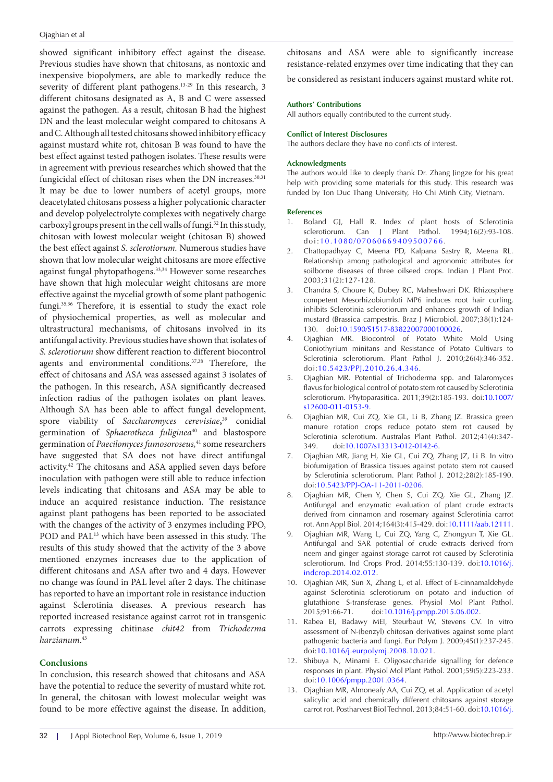showed significant inhibitory effect against the disease. Previous studies have shown that chitosans, as nontoxic and inexpensive biopolymers, are able to markedly reduce the severity of different plant pathogens.<sup>13-29</sup> In this research, 3 different chitosans designated as A, B and C were assessed against the pathogen. As a result, chitosan B had the highest DN and the least molecular weight compared to chitosans A and C. Although all tested chitosans showed inhibitory efficacy against mustard white rot, chitosan B was found to have the best effect against tested pathogen isolates. These results were in agreement with previous researches which showed that the fungicidal effect of chitosan rises when the DN increases.<sup>30,31</sup> It may be due to lower numbers of acetyl groups, more deacetylated chitosans possess a higher polycationic character and develop polyelectrolyte complexes with negatively charge carboxyl groups present in the cell walls of fungi.<sup>32</sup> In this study, chitosan with lowest molecular weight (chitosan B) showed the best effect against *S. sclerotiorum.* Numerous studies have shown that low molecular weight chitosans are more effective against fungal phytopathogens.33,34 However some researches have shown that high molecular weight chitosans are more effective against the mycelial growth of some plant pathogenic fungi.35,36 Therefore, it is essential to study the exact role of physiochemical properties, as well as molecular and ultrastructural mechanisms, of chitosans involved in its antifungal activity. Previous studies have shown that isolates of *S. sclerotiorum* show different reaction to different biocontrol agents and environmental conditions.37,38 Therefore, the effect of chitosans and ASA was assessed against 3 isolates of the pathogen. In this research, ASA significantly decreased infection radius of the pathogen isolates on plant leaves. Although SA has been able to affect fungal development, spore viability of *Saccharomyces cerevisiae***,** 39 conidial germination of *Sphaerotheca fuliginea*40 and blastospore germination of *Paecilomyces fumosoroseus,*41 some researchers have suggested that SA does not have direct antifungal activity.42 The chitosans and ASA applied seven days before inoculation with pathogen were still able to reduce infection levels indicating that chitosans and ASA may be able to induce an acquired resistance induction. The resistance against plant pathogens has been reported to be associated with the changes of the activity of 3 enzymes including PPO, POD and PAL<sup>13</sup> which have been assessed in this study. The results of this study showed that the activity of the 3 above mentioned enzymes increases due to the application of different chitosans and ASA after two and 4 days. However no change was found in PAL level after 2 days. The chitinase has reported to have an important role in resistance induction against Sclerotinia diseases. A previous research has reported increased resistance against carrot rot in transgenic carrots expressing chitinase *chit42* from *Trichoderma harzianum*. 43

## **Conclusions**

In conclusion, this research showed that chitosans and ASA have the potential to reduce the severity of mustard white rot. In general, the chitosan with lowest molecular weight was found to be more effective against the disease. In addition,

chitosans and ASA were able to significantly increase resistance-related enzymes over time indicating that they can

be considered as resistant inducers against mustard white rot.

#### **Authors' Contributions**

All authors equally contributed to the current study.

#### **Conflict of Interest Disclosures**

The authors declare they have no conflicts of interest.

#### **Acknowledgments**

The authors would like to deeply thank Dr. Zhang Jingze for his great help with providing some materials for this study. This research was funded by Ton Duc Thang University, Ho Chi Minh City, Vietnam.

#### **References**

- 1. Boland GJ, Hall R. Index of plant hosts of Sclerotinia sclerotiorum. Can J Plant Pathol. 1994;16(2):93-108. doi:[10.1080/07060669409500766.](https://doi.org/10.1080/07060669409500766)
- 2. Chattopadhyay C, Meena PD, Kalpana Sastry R, Meena RL. Relationship among pathological and agronomic attributes for soilborne diseases of three oilseed crops. Indian J Plant Prot. 2003;31(2):127-128.
- 3. Chandra S, Choure K, Dubey RC, Maheshwari DK. Rhizosphere competent Mesorhizobiumloti MP6 induces root hair curling, inhibits Sclerotinia sclerotiorum and enhances growth of Indian mustard (Brassica campestris. Braz J Microbiol. 2007;38(1):124- 130. doi:[10.1590/S1517-83822007000100026.](https://doi.org/10.1590/S1517-83822007000100026)
- 4. Ojaghian MR. Biocontrol of Potato White Mold Using Coniothyrium minitans and Resistance of Potato Cultivars to Sclerotinia sclerotiorum. Plant Pathol J. 2010;26(4):346-352. doi:[10.5423/PPJ.2010.26.4.346](https://doi.org/10.5423/PPJ.2010.26.4.346).
- 5. Ojaghian MR. Potential of Trichoderma spp. and Talaromyces flavus for biological control of potato stem rot caused by Sclerotinia sclerotiorum. Phytoparasitica. 2011;39(2):185-193. doi:[10.1007/](https://doi.org/10.1007/s12600-011-0153-9) [s12600-011-0153-9](https://doi.org/10.1007/s12600-011-0153-9).
- 6. Ojaghian MR, Cui ZQ, Xie GL, Li B, Zhang JZ. Brassica green manure rotation crops reduce potato stem rot caused by Sclerotinia sclerotium. Australas Plant Pathol. 2012;41(4):347- 349. doi:[10.1007/s13313-012-0142-6.](https://doi.org/10.1007/s13313-012-0142-6)
- 7. Ojaghian MR, Jiang H, Xie GL, Cui ZQ, Zhang JZ, Li B. In vitro biofumigation of Brassica tissues against potato stem rot caused by Sclerotinia sclerotiorum. Plant Pathol J. 2012;28(2):185-190. doi:[10.5423/PPJ-OA-11-2011-0206](https://doi.org/10.5423/PPJ-OA-11-2011-0206).
- 8. Ojaghian MR, Chen Y, Chen S, Cui ZQ, Xie GL, Zhang JZ. Antifungal and enzymatic evaluation of plant crude extracts derived from cinnamon and rosemary against Sclerotinia carrot rot. Ann Appl Biol. 2014;164(3):415-429. doi[:10.1111/aab.12111.](https://doi.org/10.1111/aab.12111)
- 9. Ojaghian MR, Wang L, Cui ZQ, Yang C, Zhongyun T, Xie GL. Antifungal and SAR potential of crude extracts derived from neem and ginger against storage carrot rot caused by Sclerotinia sclerotiorum. Ind Crops Prod. 2014;55:130-139. doi[:10.1016/j.](https://doi.org/10.1016/j.indcrop.2014.02.012) [indcrop.2014.02.012](https://doi.org/10.1016/j.indcrop.2014.02.012).
- 10. Ojaghian MR, Sun X, Zhang L, et al. Effect of E-cinnamaldehyde against Sclerotinia sclerotiorum on potato and induction of glutathione S-transferase genes. Physiol Mol Plant Pathol. 2015;91:66-71. doi[:10.1016/j.pmpp.2015.06.002.](https://doi.org/10.1016/j.pmpp.2015.06.002)
- 11. Rabea EI, Badawy MEI, Steurbaut W, Stevens CV. In vitro assessment of N-(benzyl) chitosan derivatives against some plant pathogenic bacteria and fungi. Eur Polym J. 2009;45(1):237-245. doi[:10.1016/j.eurpolymj.2008.10.021.](https://doi.org/10.1016/j.eurpolymj.2008.10.021)
- 12. Shibuya N, Minami E. Oligosaccharide signalling for defence responses in plant. Physiol Mol Plant Pathol. 2001;59(5):223-233. doi:[10.1006/pmpp.2001.0364.](https://doi.org/10.1006/pmpp.2001.0364)
- 13. Ojaghian MR, Almoneafy AA, Cui ZQ, et al. Application of acetyl salicylic acid and chemically different chitosans against storage carrot rot. Postharvest Biol Technol. 2013;84:51-60. doi[:10.1016/j.](https://doi.org/10.1016/j.postharvbio.2013.04.006)